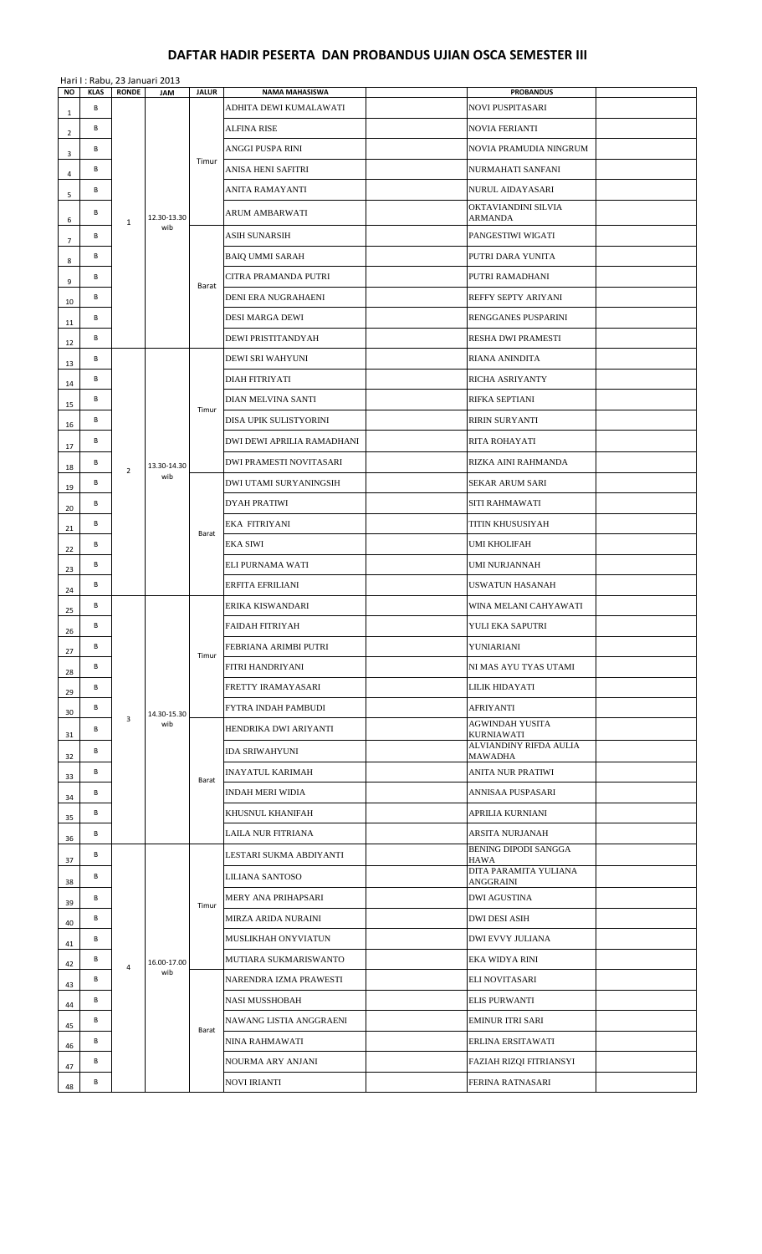## **DAFTAR HADIR PESERTA DAN PROBANDUS UJIAN OSCA SEMESTER III**

|                |                  |                | Hari I: Rabu, 23 Januari 2013 |                |                                                 |                                             |  |
|----------------|------------------|----------------|-------------------------------|----------------|-------------------------------------------------|---------------------------------------------|--|
| <b>NO</b>      | <b>KLAS</b><br>В | <b>RONDE</b>   | JAM                           | <b>JALUR</b>   | <b>NAMA MAHASISWA</b><br>ADHITA DEWI KUMALAWATI | <b>PROBANDUS</b><br><b>NOVI PUSPITASARI</b> |  |
| $\mathbf{1}$   | B                |                |                               |                | ALFINA RISE                                     | <b>NOVIA FERIANTI</b>                       |  |
| $\overline{2}$ | В                |                |                               |                | ANGGI PUSPA RINI                                | NOVIA PRAMUDIA NINGRUM                      |  |
| 3              | В                |                |                               | Timur          | ANISA HENI SAFITRI                              | NURMAHATI SANFANI                           |  |
| 4              | B                |                |                               |                | ANITA RAMAYANTI                                 | NURUL AIDAYASARI                            |  |
| 5              | В                |                |                               |                | <b>ARUM AMBARWATI</b>                           | OKTAVIANDINI SILVIA                         |  |
| 6              |                  | $\mathbf{1}$   | 12.30-13.30<br>wib            |                |                                                 | <b>ARMANDA</b>                              |  |
| $\overline{7}$ | В                |                |                               |                | <b>ASIH SUNARSIH</b>                            | PANGESTIWI WIGATI                           |  |
| 8              | В                |                |                               |                | <b>BAIQ UMMI SARAH</b>                          | PUTRI DARA YUNITA                           |  |
| 9              | В                |                |                               | Barat          | CITRA PRAMANDA PUTRI                            | PUTRI RAMADHANI                             |  |
| 10             | B                |                |                               |                | DENI ERA NUGRAHAENI                             | REFFY SEPTY ARIYANI                         |  |
| 11             | В                |                |                               |                | DESI MARGA DEWI                                 | RENGGANES PUSPARINI                         |  |
| 12             | B                |                |                               |                | DEWI PRISTITANDYAH                              | RESHA DWI PRAMESTI                          |  |
| 13             | В                |                |                               |                | DEWI SRI WAHYUNI                                | <b>RIANA ANINDITA</b>                       |  |
| 14             | В                |                |                               |                | <b>DIAH FITRIYATI</b>                           | RICHA ASRIYANTY                             |  |
| 15             | В                |                |                               | Timur          | DIAN MELVINA SANTI                              | RIFKA SEPTIANI                              |  |
| 16             | В                |                |                               |                | DISA UPIK SULISTYORINI                          | <b>RIRIN SURYANTI</b>                       |  |
| 17             | В                |                |                               |                | DWI DEWI APRILIA RAMADHANI                      | RITA ROHAYATI                               |  |
| 18             | В                | $\overline{2}$ | 13.30-14.30<br>wib            |                | <b>DWI PRAMESTI NOVITASARI</b>                  | RIZKA AINI RAHMANDA                         |  |
| 19             | В                |                |                               | Barat          | DWI UTAMI SURYANINGSIH                          | <b>SEKAR ARUM SARI</b>                      |  |
| 20             | В                |                |                               |                | <b>DYAH PRATIWI</b>                             | SITI RAHMAWATI                              |  |
| 21             | B                |                |                               |                | <b>EKA FITRIYANI</b>                            | TITIN KHUSUSIYAH                            |  |
| 22             | В                |                |                               |                | <b>EKA SIWI</b>                                 | <b>UMI KHOLIFAH</b>                         |  |
| 23             | B                |                |                               |                | ELI PURNAMA WATI                                | <b>UMI NURJANNAH</b>                        |  |
| 24             | B                |                |                               |                | ERFITA EFRILIANI                                | <b>USWATUN HASANAH</b>                      |  |
| 25             | В                |                | 14.30-15.30<br>wib            | Timur<br>Barat | ERIKA KISWANDARI                                | WINA MELANI CAHYAWATI                       |  |
| 26             | B                |                |                               |                | <b>FAIDAH FITRIYAH</b>                          | YULI EKA SAPUTRI                            |  |
| 27             | В                |                |                               |                | FEBRIANA ARIMBI PUTRI                           | YUNIARIANI                                  |  |
| 28             | В                |                |                               |                | FITRI HANDRIYANI                                | NI MAS AYU TYAS UTAMI                       |  |
| 29             | В                |                |                               |                | FRETTY IRAMAYASARI                              | LILIK HIDAYATI                              |  |
| 30             | В                | $\overline{3}$ |                               |                | FYTRA INDAH PAMBUDI                             | <b>AFRIYANTI</b><br><b>AGWINDAH YUSITA</b>  |  |
| 31             | В                |                |                               |                | HENDRIKA DWI ARIYANTI                           | <b>KURNIAWATI</b>                           |  |
| 32             | В                |                |                               |                | <b>IDA SRIWAHYUNI</b>                           | ALVIANDINY RIFDA AULIA<br>MAWADHA           |  |
| 33             | В                |                |                               |                | <b>INAYATUL KARIMAH</b>                         | <b>ANITA NUR PRATIWI</b>                    |  |
| 34             | В                |                |                               |                | <b>INDAH MERI WIDIA</b>                         | ANNISAA PUSPASARI                           |  |
| 35             | B                |                |                               |                | KHUSNUL KHANIFAH                                | APRILIA KURNIANI                            |  |
| 36             | B                |                |                               |                | LAILA NUR FITRIANA                              | ARSITA NURJANAH                             |  |
| 37             | В                |                |                               |                | LESTARI SUKMA ABDIYANTI                         | <b>BENING DIPODI SANGGA</b><br>HAWA         |  |
| 38             | В                |                |                               | Timur          | LILIANA SANTOSO                                 | DITA PARAMITA YULIANA<br>ANGGRAINI          |  |
| 39             | В                |                |                               |                | MERY ANA PRIHAPSARI                             | <b>DWI AGUSTINA</b>                         |  |
| 40             | В                |                |                               |                | MIRZA ARIDA NURAINI                             | <b>DWI DESI ASIH</b>                        |  |
| 41             | В                |                |                               |                | MUSLIKHAH ONYVIATUN                             | <b>DWI EVVY JULIANA</b>                     |  |
| 42             | В                | $\overline{4}$ | 16.00-17.00                   |                | MUTIARA SUKMARISWANTO                           | EKA WIDYA RINI                              |  |
| 43             | В                |                | wib                           |                | NARENDRA IZMA PRAWESTI                          | ELI NOVITASARI                              |  |
| 44             | В                |                |                               |                | <b>NASI MUSSHOBAH</b>                           | <b>ELIS PURWANTI</b>                        |  |
| 45             | В                |                |                               | Barat          | NAWANG LISTIA ANGGRAENI                         | EMINUR ITRI SARI                            |  |
| 46             | В                |                |                               |                | <b>NINA RAHMAWATI</b>                           | ERLINA ERSITAWATI                           |  |
| 47             | B                |                |                               |                | NOURMA ARY ANJANI                               | FAZIAH RIZQI FITRIANSYI                     |  |
| 48             | В                |                |                               |                | <b>NOVI IRIANTI</b>                             | FERINA RATNASARI                            |  |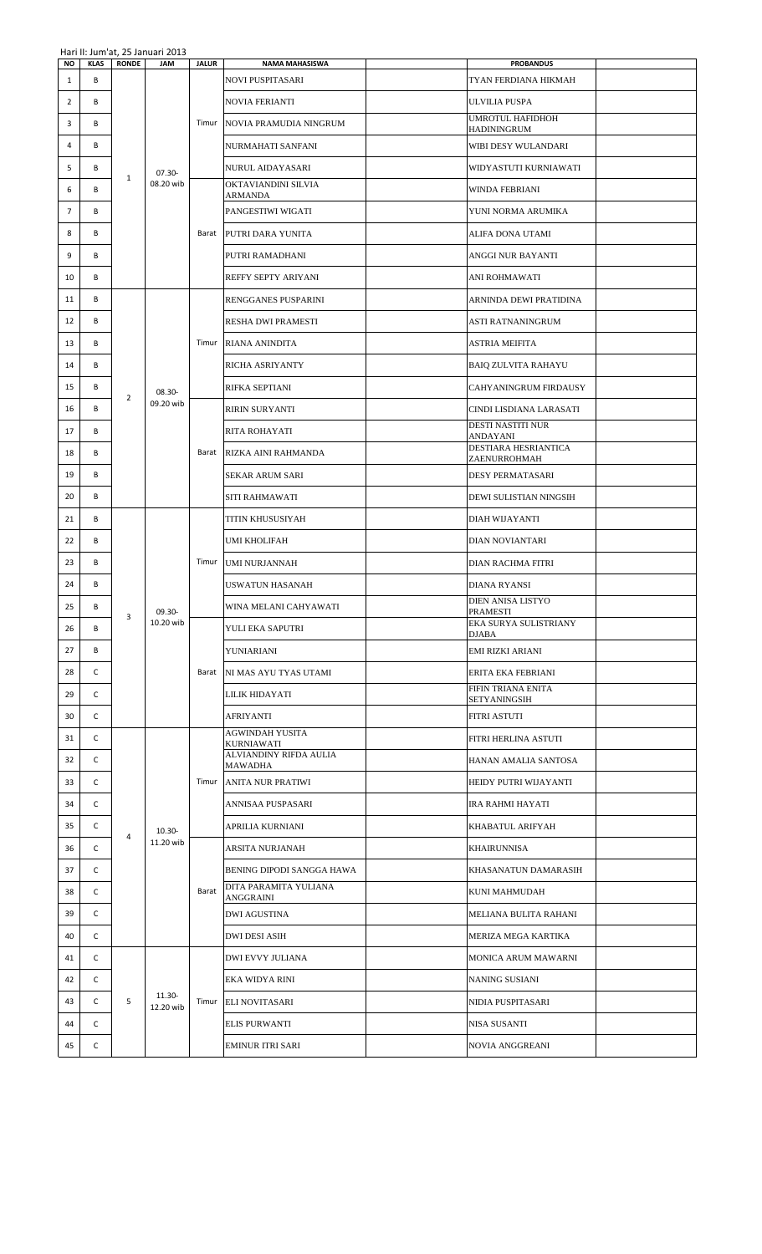| NO             | <b>KLAS</b>  | <b>RONDE</b>   | 11011 11. JUIN 0t, 29 JUNUAN 2019<br><b>JAM</b> | <b>JALUR</b> | <b>NAMA MAHASISWA</b>                              | <b>PROBANDUS</b>                    |  |
|----------------|--------------|----------------|-------------------------------------------------|--------------|----------------------------------------------------|-------------------------------------|--|
| $\mathbf{1}$   | B            |                |                                                 |              | <b>NOVI PUSPITASARI</b>                            | TYAN FERDIANA HIKMAH                |  |
| $\overline{2}$ | B            |                |                                                 |              | <b>NOVIA FERIANTI</b>                              | <b>ULVILIA PUSPA</b>                |  |
| 3              | В            |                |                                                 | Timur        | NOVIA PRAMUDIA NINGRUM                             | UMROTUL HAFIDHOH<br>HADININGRUM     |  |
| 4              | В            |                |                                                 |              | NURMAHATI SANFANI                                  | WIBI DESY WULANDARI                 |  |
| 5              | В            |                | $07.30 -$                                       |              | NURUL AIDAYASARI                                   | WIDYASTUTI KURNIAWATI               |  |
| 6              | В            | $\mathbf{1}$   | 08.20 wib                                       |              | OKTAVIANDINI SILVIA<br>ARMANDA                     | <b>WINDA FEBRIANI</b>               |  |
| 7              | В            |                |                                                 |              | PANGESTIWI WIGATI                                  | YUNI NORMA ARUMIKA                  |  |
| 8              | В            |                |                                                 |              | Barat PUTRI DARA YUNITA                            | ALIFA DONA UTAMI                    |  |
| 9              | В            |                |                                                 |              | PUTRI RAMADHANI                                    | ANGGI NUR BAYANTI                   |  |
| 10             | В            |                |                                                 |              | REFFY SEPTY ARIYANI                                | ANI ROHMAWATI                       |  |
| 11             | В            |                |                                                 |              | <b>RENGGANES PUSPARINI</b>                         | ARNINDA DEWI PRATIDINA              |  |
| 12             | В            |                |                                                 |              | RESHA DWI PRAMESTI                                 | ASTI RATNANINGRUM                   |  |
| 13             | В            |                |                                                 |              | Timur RIANA ANINDITA                               | <b>ASTRIA MEIFITA</b>               |  |
| 14             | В            |                |                                                 |              | RICHA ASRIYANTY                                    | <b>BAIQ ZULVITA RAHAYU</b>          |  |
| 15             | В            |                | 08.30-                                          |              | RIFKA SEPTIANI                                     | CAHYANINGRUM FIRDAUSY               |  |
| 16             | В            | $\overline{2}$ | 09.20 wib                                       |              | <b>RIRIN SURYANTI</b>                              | CINDI LISDIANA LARASATI             |  |
| 17             | В            |                |                                                 |              | <b>RITA ROHAYATI</b>                               | DESTI NASTITI NUR                   |  |
| 18             | В            |                |                                                 |              | Barat RIZKA AINI RAHMANDA                          | ANDAYANI<br>DESTIARA HESRIANTICA    |  |
| 19             | В            |                |                                                 |              | SEKAR ARUM SARI                                    | ZAENURROHMAH<br>DESY PERMATASARI    |  |
| 20             | В            |                |                                                 |              | SITI RAHMAWATI                                     | DEWI SULISTIAN NINGSIH              |  |
| 21             | В            |                | 09.30-<br>10.20 wib                             | Timur        | <b>TITIN KHUSUSIYAH</b>                            | DIAH WIJAYANTI                      |  |
| 22             | В            |                |                                                 |              | UMI KHOLIFAH                                       | DIAN NOVIANTARI                     |  |
| 23             | В            |                |                                                 |              | <b>UMI NURJANNAH</b>                               | DIAN RACHMA FITRI                   |  |
| 24             | В            |                |                                                 |              | USWATUN HASANAH                                    | <b>DIANA RYANSI</b>                 |  |
| 25             | B            |                |                                                 |              | WINA MELANI CAHYAWATI                              | DIEN ANISA LISTYO                   |  |
| 26             | B            | 3              |                                                 |              | YULI EKA SAPUTRI                                   | PRAMESTI<br>EKA SURYA SULISTRIANY   |  |
| 27             | В            |                |                                                 |              | YUNIARIANI                                         | DJABA<br>EMI RIZKI ARIANI           |  |
| 28             | C            |                |                                                 |              | Barat   NI MAS AYU TYAS UTAMI                      | ERITA EKA FEBRIANI                  |  |
| 29             | C            |                |                                                 |              | LILIK HIDAYATI                                     | FIFIN TRIANA ENITA                  |  |
| 30             | C            |                |                                                 |              |                                                    | SETYANINGSIH<br><b>FITRI ASTUTI</b> |  |
|                | $\mathsf{C}$ |                |                                                 |              | AFRIYANTI<br>AGWINDAH YUSITA                       |                                     |  |
| 31             |              |                |                                                 |              | KURNIAWATI<br>ALVIANDINY RIFDA AULIA               | FITRI HERLINA ASTUTI                |  |
| 32             | C            |                |                                                 |              | MAWADHA                                            | HANAN AMALIA SANTOSA                |  |
| 33             | C            |                |                                                 |              | Timur ANITA NUR PRATIWI                            | HEIDY PUTRI WIJAYANTI               |  |
| 34             | C            |                |                                                 |              | ANNISAA PUSPASARI                                  | IRA RAHMI HAYATI                    |  |
| 35             | C            | 4              | 10.30-<br>11.20 wib                             |              | APRILIA KURNIANI                                   | KHABATUL ARIFYAH                    |  |
| 36             | C            |                |                                                 |              | ARSITA NURJANAH                                    | KHAIRUNNISA                         |  |
| 37             | C            |                |                                                 | Barat        | BENING DIPODI SANGGA HAWA<br>DITA PARAMITA YULIANA | KHASANATUN DAMARASIH                |  |
| 38             | C            |                |                                                 |              | ANGGRAINI                                          | KUNI MAHMUDAH                       |  |
| 39             | C            |                |                                                 |              | DWI AGUSTINA                                       | MELIANA BULITA RAHANI               |  |
| 40             | C            |                |                                                 |              | <b>DWI DESI ASIH</b>                               | MERIZA MEGA KARTIKA                 |  |
| 41             | C            |                |                                                 |              | DWI EVVY JULIANA                                   | MONICA ARUM MAWARNI                 |  |
| 42             | C            |                |                                                 |              | EKA WIDYA RINI                                     | NANING SUSIANI                      |  |
| 43             | C            | 5              | 11.30-<br>12.20 wib                             |              | Timur ELI NOVITASARI                               | NIDIA PUSPITASARI                   |  |
| 44             | C            |                |                                                 |              | <b>ELIS PURWANTI</b>                               | <b>NISA SUSANTI</b>                 |  |
| 45             | C            |                |                                                 |              | <b>EMINUR ITRI SARI</b>                            | NOVIA ANGGREANI                     |  |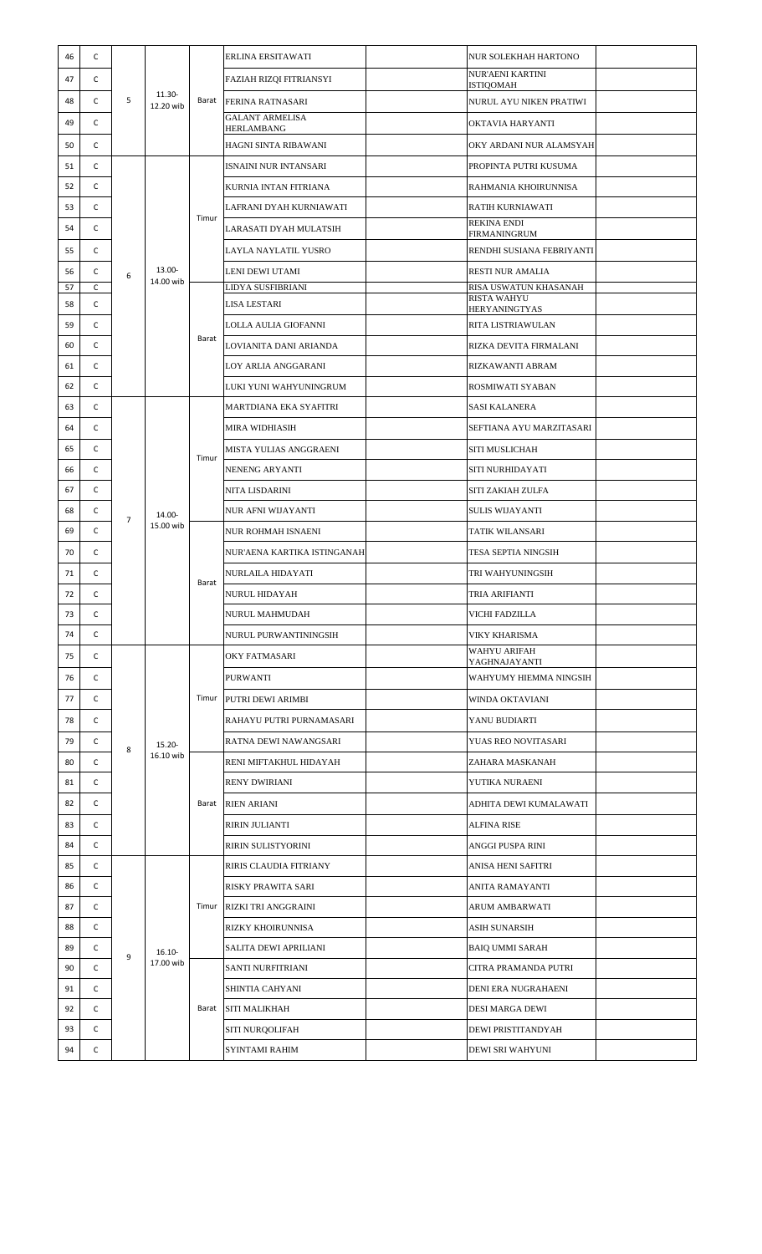| 46       | с      |                |                     |       | ERLINA ERSITAWATI                         | NUR SOLEKHAH HARTONO                        |  |
|----------|--------|----------------|---------------------|-------|-------------------------------------------|---------------------------------------------|--|
| 47       | С      |                |                     |       | <b>FAZIAH RIZOI FITRIANSYI</b>            | <b>NUR'AENI KARTINI</b>                     |  |
| 48       | C      | 5              | 11.30-<br>12.20 wib |       | Barat FERINA RATNASARI                    | <b>ISTIQOMAH</b><br>NURUL AYU NIKEN PRATIWI |  |
| 49       | c      |                |                     |       | <b>GALANT ARMELISA</b>                    | OKTAVIA HARYANTI                            |  |
| 50       | С      |                |                     |       | HERLAMBANG<br>HAGNI SINTA RIBAWANI        | OKY ARDANI NUR ALAMSYAH                     |  |
| 51       | С      |                |                     |       | ISNAINI NUR INTANSARI                     | PROPINTA PUTRI KUSUMA                       |  |
| 52       | c      |                |                     |       | KURNIA INTAN FITRIANA                     | RAHMANIA KHOIRUNNISA                        |  |
| 53       | C      |                |                     |       | LAFRANI DYAH KURNIAWATI                   | <b>RATIH KURNIAWATI</b>                     |  |
| 54       | С      |                |                     | Timur |                                           | <b>REKINA ENDI</b>                          |  |
|          |        |                |                     |       | LARASATI DYAH MULATSIH                    | <b>FIRMANINGRUM</b>                         |  |
| 55       | с      |                |                     |       | LAYLA NAYLATIL YUSRO                      | RENDHI SUSIANA FEBRIYANTI                   |  |
| 56<br>57 | c<br>C | 6              | 13.00-<br>14.00 wib |       | LENI DEWI UTAMI<br>LIDYA SUSFIBRIANI      | RESTI NUR AMALIA<br>RISA USWATUN KHASANAH   |  |
| 58       | C      |                |                     |       | LISA LESTARI                              | <b>RISTA WAHYU</b><br><b>HERYANINGTYAS</b>  |  |
| 59       | C      |                |                     |       | LOLLA AULIA GIOFANNI                      | <b>RITA LISTRIAWULAN</b>                    |  |
| 60       | C      |                |                     | Barat | LOVIANITA DANI ARIANDA                    | RIZKA DEVITA FIRMALANI                      |  |
| 61       | c      |                |                     |       | LOY ARLIA ANGGARANI                       | RIZKAWANTI ABRAM                            |  |
| 62       | C      |                |                     |       | LUKI YUNI WAHYUNINGRUM                    | ROSMIWATI SYABAN                            |  |
| 63       | C      |                |                     |       | MARTDIANA EKA SYAFITRI                    | <b>SASI KALANERA</b>                        |  |
| 64       | С      |                |                     |       | MIRA WIDHIASIH                            | SEFTIANA AYU MARZITASARI                    |  |
| 65       | С      |                |                     | Timur | MISTA YULIAS ANGGRAENI                    | SITI MUSLICHAH                              |  |
| 66       | с      |                |                     |       | NENENG ARYANTI                            | SITI NURHIDAYATI                            |  |
| 67       | С      |                |                     |       | NITA LISDARINI                            | SITI ZAKIAH ZULFA                           |  |
| 68       | С      |                | 14.00-<br>15.00 wib |       | NUR AFNI WIJAYANTI                        | <b>SULIS WIJAYANTI</b>                      |  |
| 69       | С      | $\overline{7}$ |                     | Barat | NUR ROHMAH ISNAENI                        | <b>TATIK WILANSARI</b>                      |  |
| 70       | с      |                |                     |       | NUR'AENA KARTIKA ISTINGANAH               | TESA SEPTIA NINGSIH                         |  |
|          |        |                |                     |       |                                           |                                             |  |
| 71<br>72 | с<br>c |                |                     |       | NURLAILA HIDAYATI<br><b>NURUL HIDAYAH</b> | TRI WAHYUNINGSIH                            |  |
| 73       | C      |                |                     |       |                                           | <b>TRIA ARIFIANTI</b>                       |  |
| 74       | с      |                |                     |       | NURUL MAHMUDAH                            | VICHI FADZILLA<br><b>VIKY KHARISMA</b>      |  |
|          |        |                | 15.20-<br>16.10 wib | Timur | NURUL PURWANTININGSIH                     | WAHYU ARIFAH                                |  |
| 75       | с      |                |                     |       | OKY FATMASARI                             | YAGHNAJAYANTI                               |  |
| 76       | С      |                |                     |       | PURWANTI                                  | WAHYUMY HIEMMA NINGSIH                      |  |
| 77       | С      |                |                     |       | PUTRI DEWI ARIMBI                         | WINDA OKTAVIANI                             |  |
| 78       | С      |                |                     |       | RAHAYU PUTRI PURNAMASARI                  | YANU BUDIARTI                               |  |
| 79       | С      | 8              |                     |       | RATNA DEWI NAWANGSARI                     | YUAS REO NOVITASARI                         |  |
| 80       | С      |                |                     |       | RENI MIFTAKHUL HIDAYAH                    | ZAHARA MASKANAH                             |  |
| 81       | С      |                |                     |       | RENY DWIRIANI                             | YUTIKA NURAENI                              |  |
| 82       | С      |                |                     | Barat | <b>RIEN ARIANI</b>                        | ADHITA DEWI KUMALAWATI                      |  |
| 83       | C      |                |                     |       | RIRIN JULIANTI                            | <b>ALFINA RISE</b>                          |  |
| 84       | C      |                |                     |       | RIRIN SULISTYORINI                        | ANGGI PUSPA RINI                            |  |
| 85       | С      |                |                     |       | RIRIS CLAUDIA FITRIANY                    | ANISA HENI SAFITRI                          |  |
| 86       | C      |                |                     |       | RISKY PRAWITA SARI                        | <b>ANITA RAMAYANTI</b>                      |  |
| 87       | C      |                |                     | Timur | RIZKI TRI ANGGRAINI                       | <b>ARUM AMBARWATI</b>                       |  |
| 88       | C      |                |                     |       | RIZKY KHOIRUNNISA                         | <b>ASIH SUNARSIH</b>                        |  |
| 89       | C      | 9              | $16.10 -$           |       | SALITA DEWI APRILIANI                     | <b>BAIQ UMMI SARAH</b>                      |  |
| 90       | С      |                | 17.00 wib           |       | SANTI NURFITRIANI                         | CITRA PRAMANDA PUTRI                        |  |
| 91       | C      |                |                     |       | SHINTIA CAHYANI                           | DENI ERA NUGRAHAENI                         |  |
| 92       | С      |                |                     | Barat | <b>SITI MALIKHAH</b>                      | <b>DESI MARGA DEWI</b>                      |  |
| 93       | с      |                |                     |       | SITI NURQOLIFAH                           | DEWI PRISTITANDY AH                         |  |
| 94       | С      |                |                     |       | <b>SYINTAMI RAHIM</b>                     | DEWI SRI WAHYUNI                            |  |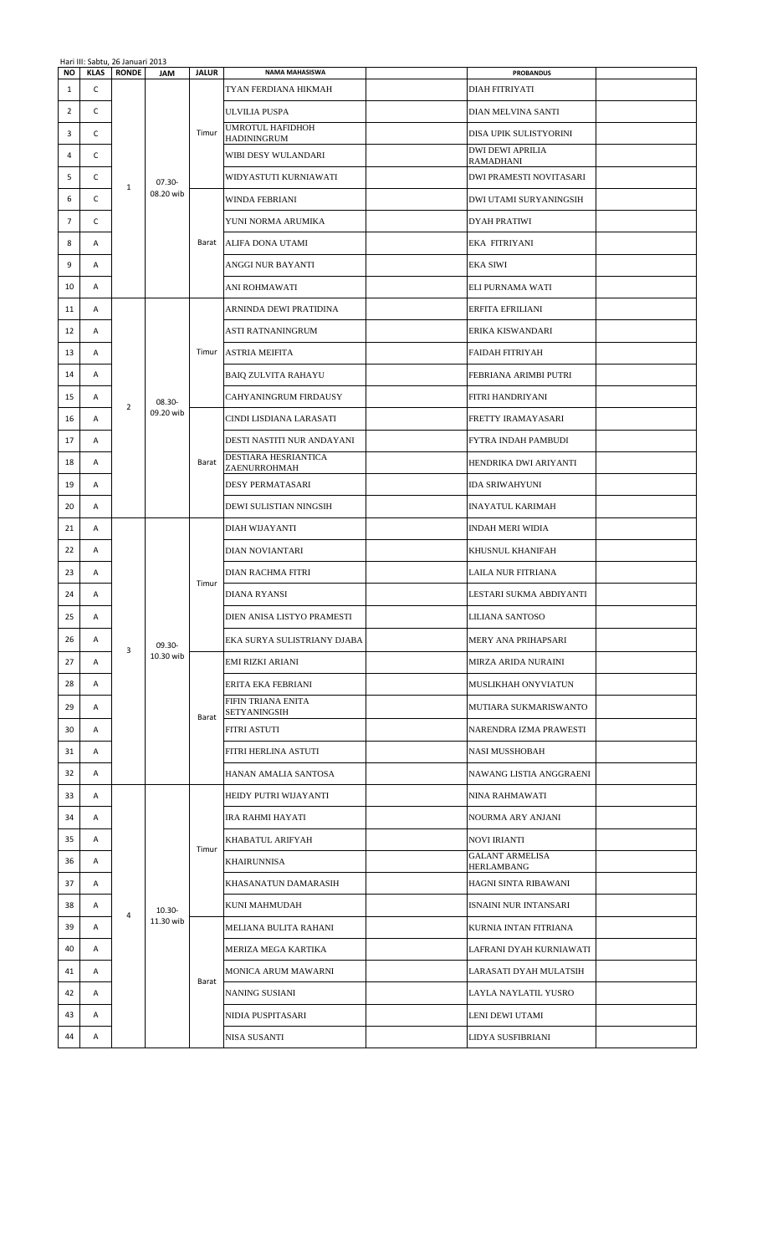|                |             | Hari III: Sabtu, 26 Januari 2013 |                     |                             |                                                    |                                               |  |
|----------------|-------------|----------------------------------|---------------------|-----------------------------|----------------------------------------------------|-----------------------------------------------|--|
| <b>NO</b>      | <b>KLAS</b> | <b>RONDE</b>                     | <b>JAM</b>          | <b>JALUR</b>                | <b>NAMA MAHASISWA</b>                              | <b>PROBANDUS</b>                              |  |
| 1              | C           |                                  |                     |                             | TYAN FERDIANA HIKMAH                               | DIAH FITRIYATI                                |  |
| 2              | C           |                                  |                     |                             | ULVILIA PUSPA                                      | DIAN MELVINA SANTI                            |  |
| 3              | C           |                                  |                     | Timur                       | UMROTUL HAFIDHOH<br><b>HADININGRUM</b>             | DISA UPIK SULISTYORINI                        |  |
| 4              | C           |                                  |                     |                             | WIBI DESY WULANDARI                                | <b>DWI DEWI APRILIA</b><br>RAMADHANI          |  |
| 5              | C           |                                  | $07.30 -$           |                             | WIDYASTUTI KURNIAWATI                              | <b>DWI PRAMESTI NOVITASARI</b>                |  |
| 6              | C           | $\mathbf{1}$                     | 08.20 wib           |                             | WINDA FEBRIANI                                     | <b>DWI UTAMI SURYANINGSIH</b>                 |  |
| $\overline{7}$ | C           |                                  |                     |                             | YUNI NORMA ARUMIKA                                 | <b>DYAH PRATIWI</b>                           |  |
| 8              | Α           |                                  |                     | Barat                       | ALIFA DONA UTAMI                                   | EKA FITRIYANI                                 |  |
| 9              | Α           |                                  |                     |                             | ANGGI NUR BAYANTI                                  | <b>EKA SIWI</b>                               |  |
| 10             | Α           |                                  |                     |                             | ANI ROHMAWATI                                      | ELI PURNAMA WATI                              |  |
| 11             | Α           |                                  |                     |                             | ARNINDA DEWI PRATIDINA                             | <b>ERFITA EFRILIANI</b>                       |  |
| 12             | Α           |                                  |                     |                             | ASTI RATNANINGRUM                                  | ERIKA KISWANDARI                              |  |
| 13             | Α           |                                  |                     | Timur                       | <b>ASTRIA MEIFITA</b>                              | <b>FAIDAH FITRIYAH</b>                        |  |
| 14             | Α           |                                  |                     |                             | <b>BAIO ZULVITA RAHAYU</b>                         | FEBRIANA ARIMBI PUTRI                         |  |
| 15             | Α           |                                  |                     |                             | CAHYANINGRUM FIRDAUSY                              | FITRI HANDRIYANI                              |  |
|                |             | $\overline{2}$                   | 08.30-<br>09.20 wib |                             |                                                    |                                               |  |
| 16             | Α           |                                  |                     |                             | CINDI LISDIANA LARASATI                            | FRETTY IRAMAYASARI                            |  |
| 17             | Α           |                                  |                     | Barat                       | DESTI NASTITI NUR ANDAYANI<br>DESTIARA HESRIANTICA | FYTRA INDAH PAMBUDI                           |  |
| 18             | Α           |                                  |                     |                             | ZAENURROHMAH                                       | HENDRIKA DWI ARIYANTI                         |  |
| 19             | Α           |                                  |                     |                             | <b>DESY PERMATASARI</b>                            | <b>IDA SRIWAHYUNI</b>                         |  |
| 20             | Α           |                                  |                     |                             | DEWI SULISTIAN NINGSIH                             | <b>INAYATUL KARIMAH</b>                       |  |
| 21             | Α           |                                  |                     |                             | DIAH WIJAYANTI                                     | INDAH MERI WIDIA                              |  |
| 22             | Α           |                                  |                     |                             | DIAN NOVIANTARI                                    | KHUSNUL KHANIFAH                              |  |
| 23             | Α           |                                  | 09.30-<br>10.30 wib | Timur<br>Barat              | DIAN RACHMA FITRI                                  | LAILA NUR FITRIANA                            |  |
| 24             | Α           |                                  |                     |                             | DIANA RYANSI                                       | LESTARI SUKMA ABDIYANTI                       |  |
| 25             | А           |                                  |                     |                             | DIEN ANISA LISTYO PRAMESTI                         | LILIANA SANTOSO                               |  |
| 26             | Α           |                                  |                     |                             | EKA SURYA SULISTRIANY DJABA                        | MERY ANA PRIHAPSARI                           |  |
| 27             | Α           | 3                                |                     |                             | EMI RIZKI ARIANI                                   | MIRZA ARIDA NURAINI                           |  |
| 28             | Α           |                                  |                     |                             | ERITA EKA FEBRIANI                                 | MUSLIKHAH ONYVIATUN                           |  |
| 29             | Α           |                                  |                     |                             | FIFIN TRIANA ENITA                                 | MUTIARA SUKMARISWANTO                         |  |
| 30             | Α           |                                  |                     |                             | <b>SETYANINGSIH</b><br><b>FITRI ASTUTI</b>         | NARENDRA IZMA PRAWESTI                        |  |
| 31             | Α           |                                  |                     |                             | FITRI HERLINA ASTUTI                               | <b>NASI MUSSHOBAH</b>                         |  |
| 32             | Α           |                                  |                     |                             | HANAN AMALIA SANTOSA                               | NAWANG LISTIA ANGGRAENI                       |  |
| 33             | Α           |                                  |                     |                             | HEIDY PUTRI WIJAYANTI                              | NINA RAHMAWATI                                |  |
|                |             |                                  |                     | Timur<br>11.30 wib<br>Barat |                                                    |                                               |  |
| 34             | Α           |                                  |                     |                             | IRA RAHMI HAYATI                                   | NOURMA ARY ANJANI                             |  |
| 35             | Α           |                                  |                     |                             | KHABATUL ARIFYAH                                   | <b>NOVI IRIANTI</b><br><b>GALANT ARMELISA</b> |  |
| 36             | Α           |                                  |                     |                             | KHAIRUNNISA                                        | HERLAMBANG                                    |  |
| 37             | Α           |                                  |                     |                             | KHASANATUN DAMARASIH                               | HAGNI SINTA RIBAWANI                          |  |
| 38             | Α           | 4                                | $10.30 -$           |                             | KUNI MAHMUDAH                                      | ISNAINI NUR INTANSARI                         |  |
| 39             | Α           |                                  |                     |                             | MELIANA BULITA RAHANI                              | KURNIA INTAN FITRIANA                         |  |
| 40             | Α           |                                  |                     |                             | MERIZA MEGA KARTIKA                                | LAFRANI DYAH KURNIAWATI                       |  |
| 41             | Α           |                                  |                     |                             | MONICA ARUM MAWARNI                                | LARASATI DYAH MULATSIH                        |  |
| 42             | Α           |                                  |                     |                             | NANING SUSIANI                                     | LAYLA NAYLATIL YUSRO                          |  |
| 43             | Α           |                                  |                     |                             | NIDIA PUSPITASARI                                  | LENI DEWI UTAMI                               |  |
| 44             | Α           |                                  |                     |                             | NISA SUSANTI                                       | LIDYA SUSFIBRIANI                             |  |